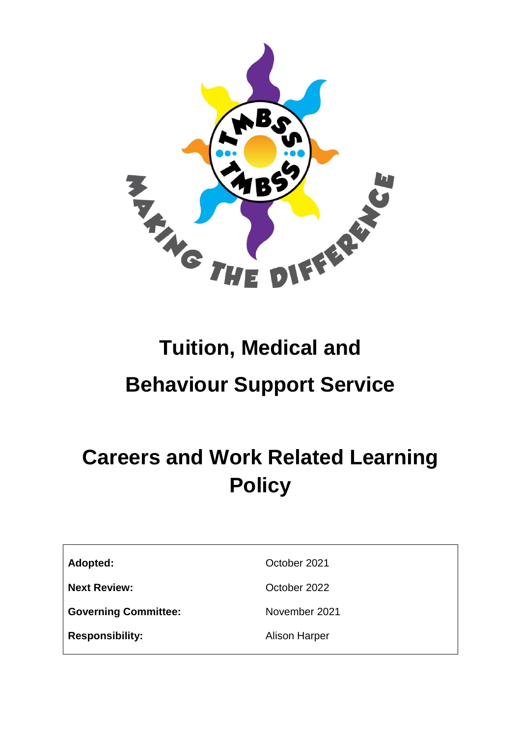

# **Tuition, Medical and Behaviour Support Service**

# **Careers and Work Related Learning Policy**

Adopted: Care Containers and Corporation of the Corporation of the Corporation of the Corporation of the Corporation of the Corporation of the Corporation of the Corporation of the Corporation of the Corporation of the Cor

**Next Review: October 2022** 

**Governing Committee:** November 2021

**Responsibility:** Alison Harper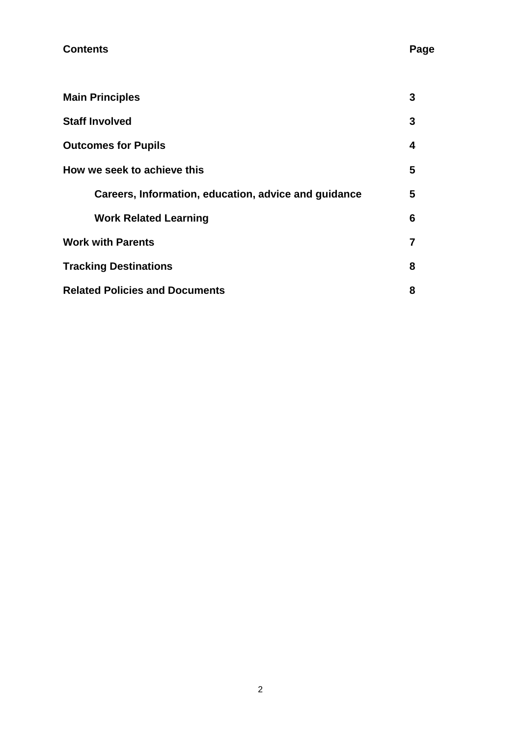| <b>Main Principles</b>                               | 3              |
|------------------------------------------------------|----------------|
| <b>Staff Involved</b>                                | 3              |
| <b>Outcomes for Pupils</b>                           | 4              |
| How we seek to achieve this                          | 5              |
| Careers, Information, education, advice and guidance | 5              |
| <b>Work Related Learning</b>                         | 6              |
| <b>Work with Parents</b>                             | $\overline{7}$ |
| <b>Tracking Destinations</b>                         | 8              |
| <b>Related Policies and Documents</b>                | 8              |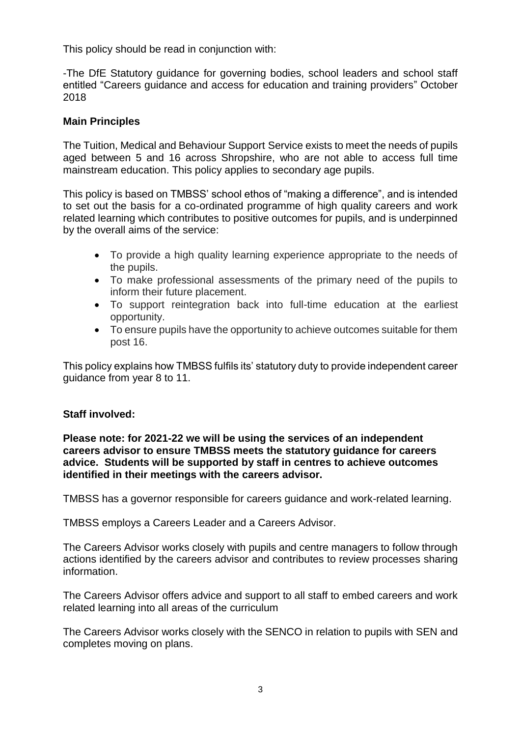This policy should be read in conjunction with:

-The DfE Statutory guidance for governing bodies, school leaders and school staff entitled "Careers guidance and access for education and training providers" October 2018

## **Main Principles**

The Tuition, Medical and Behaviour Support Service exists to meet the needs of pupils aged between 5 and 16 across Shropshire, who are not able to access full time mainstream education. This policy applies to secondary age pupils.

This policy is based on TMBSS' school ethos of "making a difference", and is intended to set out the basis for a co-ordinated programme of high quality careers and work related learning which contributes to positive outcomes for pupils, and is underpinned by the overall aims of the service:

- To provide a high quality learning experience appropriate to the needs of the pupils.
- To make professional assessments of the primary need of the pupils to inform their future placement.
- To support reintegration back into full-time education at the earliest opportunity.
- To ensure pupils have the opportunity to achieve outcomes suitable for them post 16.

This policy explains how TMBSS fulfils its' statutory duty to provide independent career guidance from year 8 to 11.

#### **Staff involved:**

**Please note: for 2021-22 we will be using the services of an independent careers advisor to ensure TMBSS meets the statutory guidance for careers advice. Students will be supported by staff in centres to achieve outcomes identified in their meetings with the careers advisor.**

TMBSS has a governor responsible for careers guidance and work-related learning.

TMBSS employs a Careers Leader and a Careers Advisor.

The Careers Advisor works closely with pupils and centre managers to follow through actions identified by the careers advisor and contributes to review processes sharing information.

The Careers Advisor offers advice and support to all staff to embed careers and work related learning into all areas of the curriculum

The Careers Advisor works closely with the SENCO in relation to pupils with SEN and completes moving on plans.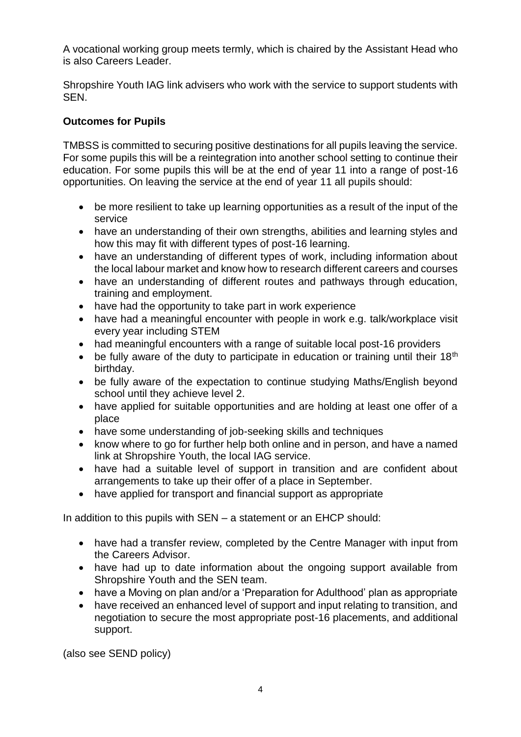A vocational working group meets termly, which is chaired by the Assistant Head who is also Careers Leader.

Shropshire Youth IAG link advisers who work with the service to support students with SEN.

# **Outcomes for Pupils**

TMBSS is committed to securing positive destinations for all pupils leaving the service. For some pupils this will be a reintegration into another school setting to continue their education. For some pupils this will be at the end of year 11 into a range of post-16 opportunities. On leaving the service at the end of year 11 all pupils should:

- be more resilient to take up learning opportunities as a result of the input of the service
- have an understanding of their own strengths, abilities and learning styles and how this may fit with different types of post-16 learning.
- have an understanding of different types of work, including information about the local labour market and know how to research different careers and courses
- have an understanding of different routes and pathways through education, training and employment.
- have had the opportunity to take part in work experience
- have had a meaningful encounter with people in work e.g. talk/workplace visit every year including STEM
- had meaningful encounters with a range of suitable local post-16 providers
- be fully aware of the duty to participate in education or training until their  $18<sup>th</sup>$ birthday.
- be fully aware of the expectation to continue studying Maths/English beyond school until they achieve level 2.
- have applied for suitable opportunities and are holding at least one offer of a place
- have some understanding of job-seeking skills and techniques
- know where to go for further help both online and in person, and have a named link at Shropshire Youth, the local IAG service.
- have had a suitable level of support in transition and are confident about arrangements to take up their offer of a place in September.
- have applied for transport and financial support as appropriate

In addition to this pupils with SEN – a statement or an EHCP should:

- have had a transfer review, completed by the Centre Manager with input from the Careers Advisor.
- have had up to date information about the ongoing support available from Shropshire Youth and the SEN team.
- have a Moving on plan and/or a 'Preparation for Adulthood' plan as appropriate
- have received an enhanced level of support and input relating to transition, and negotiation to secure the most appropriate post-16 placements, and additional support.

(also see SEND policy)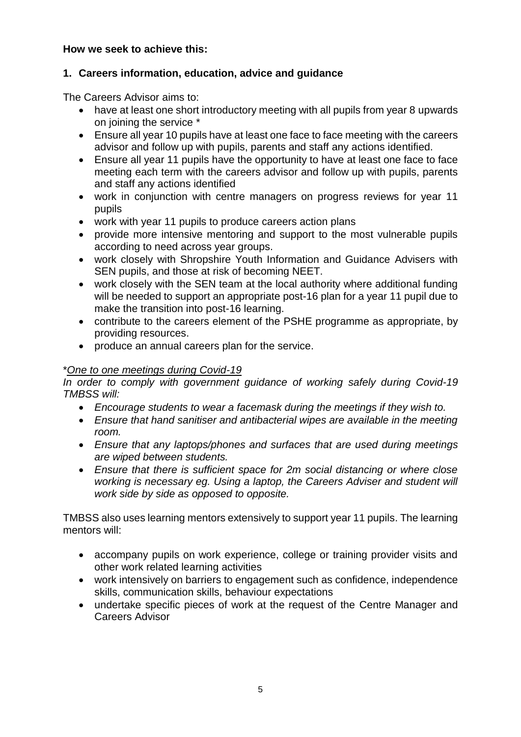## **How we seek to achieve this:**

#### **1. Careers information, education, advice and guidance**

The Careers Advisor aims to:

- have at least one short introductory meeting with all pupils from year 8 upwards on joining the service \*
- Ensure all year 10 pupils have at least one face to face meeting with the careers advisor and follow up with pupils, parents and staff any actions identified.
- Ensure all year 11 pupils have the opportunity to have at least one face to face meeting each term with the careers advisor and follow up with pupils, parents and staff any actions identified
- work in conjunction with centre managers on progress reviews for year 11 pupils
- work with year 11 pupils to produce careers action plans
- provide more intensive mentoring and support to the most vulnerable pupils according to need across year groups.
- work closely with Shropshire Youth Information and Guidance Advisers with SEN pupils, and those at risk of becoming NEET.
- work closely with the SEN team at the local authority where additional funding will be needed to support an appropriate post-16 plan for a year 11 pupil due to make the transition into post-16 learning.
- contribute to the careers element of the PSHE programme as appropriate, by providing resources.
- produce an annual careers plan for the service.

#### \**One to one meetings during Covid-19*

*In order to comply with government guidance of working safely during Covid-19 TMBSS will:*

- *Encourage students to wear a facemask during the meetings if they wish to.*
- *Ensure that hand sanitiser and antibacterial wipes are available in the meeting room.*
- *Ensure that any laptops/phones and surfaces that are used during meetings are wiped between students.*
- *Ensure that there is sufficient space for 2m social distancing or where close working is necessary eg. Using a laptop, the Careers Adviser and student will work side by side as opposed to opposite.*

TMBSS also uses learning mentors extensively to support year 11 pupils. The learning mentors will:

- accompany pupils on work experience, college or training provider visits and other work related learning activities
- work intensively on barriers to engagement such as confidence, independence skills, communication skills, behaviour expectations
- undertake specific pieces of work at the request of the Centre Manager and Careers Advisor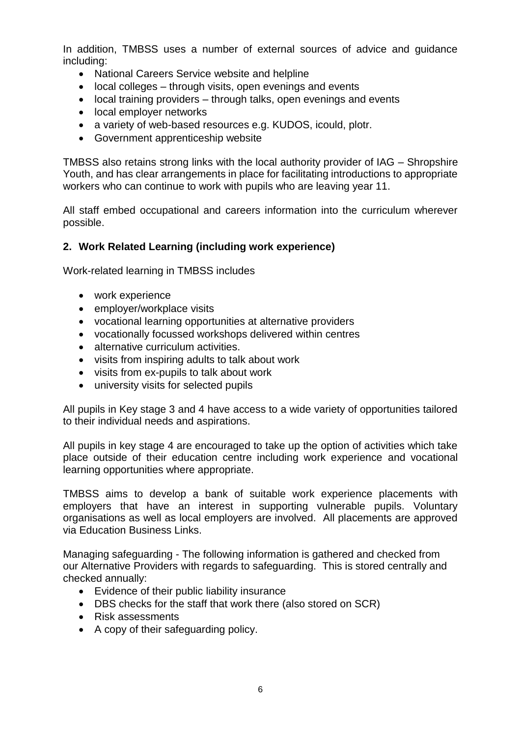In addition, TMBSS uses a number of external sources of advice and guidance including:

- National Careers Service website and helpline
- local colleges through visits, open evenings and events
- local training providers through talks, open evenings and events
- local employer networks
- a variety of web-based resources e.g. KUDOS, icould, plotr.
- Government apprenticeship website

TMBSS also retains strong links with the local authority provider of IAG – Shropshire Youth, and has clear arrangements in place for facilitating introductions to appropriate workers who can continue to work with pupils who are leaving year 11.

All staff embed occupational and careers information into the curriculum wherever possible.

#### **2. Work Related Learning (including work experience)**

Work-related learning in TMBSS includes

- work experience
- employer/workplace visits
- vocational learning opportunities at alternative providers
- vocationally focussed workshops delivered within centres
- alternative curriculum activities.
- visits from inspiring adults to talk about work
- visits from ex-pupils to talk about work
- university visits for selected pupils

All pupils in Key stage 3 and 4 have access to a wide variety of opportunities tailored to their individual needs and aspirations.

All pupils in key stage 4 are encouraged to take up the option of activities which take place outside of their education centre including work experience and vocational learning opportunities where appropriate.

TMBSS aims to develop a bank of suitable work experience placements with employers that have an interest in supporting vulnerable pupils. Voluntary organisations as well as local employers are involved. All placements are approved via Education Business Links.

Managing safeguarding - The following information is gathered and checked from our Alternative Providers with regards to safeguarding. This is stored centrally and checked annually:

- Evidence of their public liability insurance
- DBS checks for the staff that work there (also stored on SCR)
- Risk assessments
- A copy of their safeguarding policy.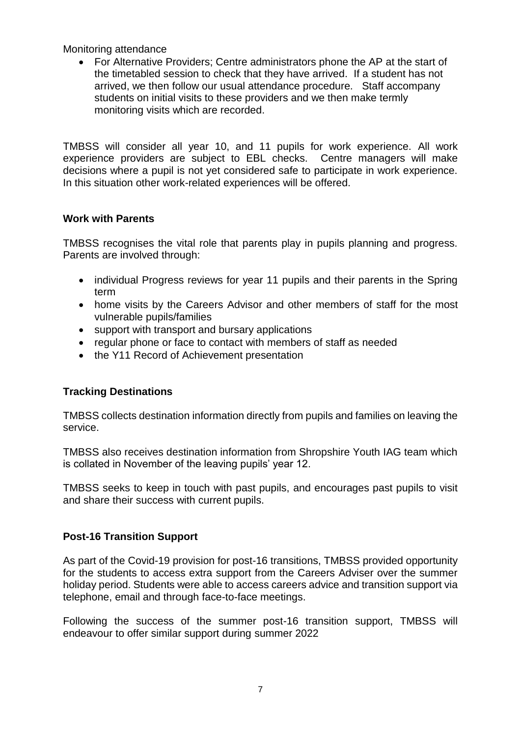Monitoring attendance

• For Alternative Providers; Centre administrators phone the AP at the start of the timetabled session to check that they have arrived. If a student has not arrived, we then follow our usual attendance procedure. Staff accompany students on initial visits to these providers and we then make termly monitoring visits which are recorded.

TMBSS will consider all year 10, and 11 pupils for work experience. All work experience providers are subject to EBL checks. Centre managers will make decisions where a pupil is not yet considered safe to participate in work experience. In this situation other work-related experiences will be offered.

# **Work with Parents**

TMBSS recognises the vital role that parents play in pupils planning and progress. Parents are involved through:

- individual Progress reviews for year 11 pupils and their parents in the Spring term
- home visits by the Careers Advisor and other members of staff for the most vulnerable pupils/families
- support with transport and bursary applications
- regular phone or face to contact with members of staff as needed
- the Y11 Record of Achievement presentation

# **Tracking Destinations**

TMBSS collects destination information directly from pupils and families on leaving the service.

TMBSS also receives destination information from Shropshire Youth IAG team which is collated in November of the leaving pupils' year 12.

TMBSS seeks to keep in touch with past pupils, and encourages past pupils to visit and share their success with current pupils.

# **Post-16 Transition Support**

As part of the Covid-19 provision for post-16 transitions, TMBSS provided opportunity for the students to access extra support from the Careers Adviser over the summer holiday period. Students were able to access careers advice and transition support via telephone, email and through face-to-face meetings.

Following the success of the summer post-16 transition support, TMBSS will endeavour to offer similar support during summer 2022